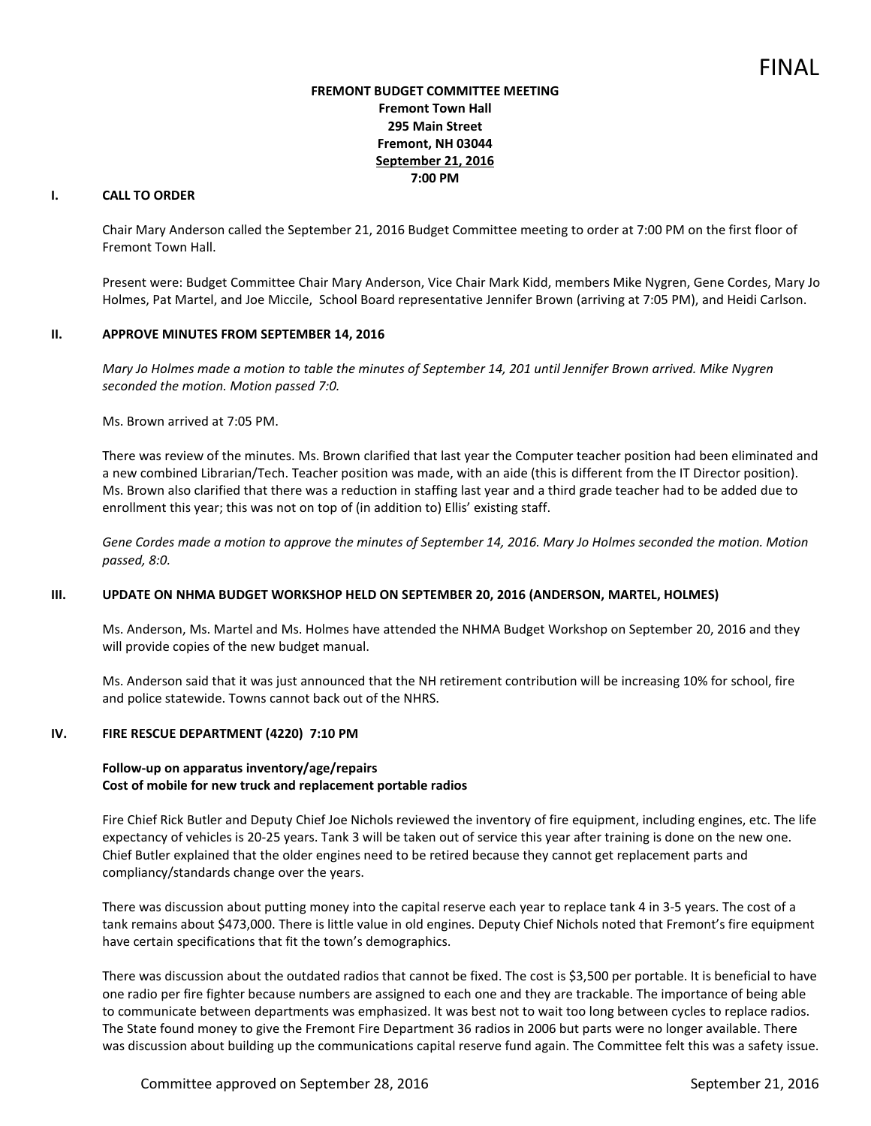## **FREMONT BUDGET COMMITTEE MEETING Fremont Town Hall 295 Main Street Fremont, NH 03044 September 21, 2016 7:00 PM**

# **I. CALL TO ORDER**

Chair Mary Anderson called the September 21, 2016 Budget Committee meeting to order at 7:00 PM on the first floor of Fremont Town Hall.

Present were: Budget Committee Chair Mary Anderson, Vice Chair Mark Kidd, members Mike Nygren, Gene Cordes, Mary Jo Holmes, Pat Martel, and Joe Miccile, School Board representative Jennifer Brown (arriving at 7:05 PM), and Heidi Carlson.

### **II. APPROVE MINUTES FROM SEPTEMBER 14, 2016**

*Mary Jo Holmes made a motion to table the minutes of September 14, 201 until Jennifer Brown arrived. Mike Nygren seconded the motion. Motion passed 7:0.* 

Ms. Brown arrived at 7:05 PM.

There was review of the minutes. Ms. Brown clarified that last year the Computer teacher position had been eliminated and a new combined Librarian/Tech. Teacher position was made, with an aide (this is different from the IT Director position). Ms. Brown also clarified that there was a reduction in staffing last year and a third grade teacher had to be added due to enrollment this year; this was not on top of (in addition to) Ellis' existing staff.

*Gene Cordes made a motion to approve the minutes of September 14, 2016. Mary Jo Holmes seconded the motion. Motion passed, 8:0.* 

## **III. UPDATE ON NHMA BUDGET WORKSHOP HELD ON SEPTEMBER 20, 2016 (ANDERSON, MARTEL, HOLMES)**

Ms. Anderson, Ms. Martel and Ms. Holmes have attended the NHMA Budget Workshop on September 20, 2016 and they will provide copies of the new budget manual.

Ms. Anderson said that it was just announced that the NH retirement contribution will be increasing 10% for school, fire and police statewide. Towns cannot back out of the NHRS.

### **IV. FIRE RESCUE DEPARTMENT (4220) 7:10 PM**

### **Follow-up on apparatus inventory/age/repairs Cost of mobile for new truck and replacement portable radios**

Fire Chief Rick Butler and Deputy Chief Joe Nichols reviewed the inventory of fire equipment, including engines, etc. The life expectancy of vehicles is 20-25 years. Tank 3 will be taken out of service this year after training is done on the new one. Chief Butler explained that the older engines need to be retired because they cannot get replacement parts and compliancy/standards change over the years.

There was discussion about putting money into the capital reserve each year to replace tank 4 in 3-5 years. The cost of a tank remains about \$473,000. There is little value in old engines. Deputy Chief Nichols noted that Fremont's fire equipment have certain specifications that fit the town's demographics.

There was discussion about the outdated radios that cannot be fixed. The cost is \$3,500 per portable. It is beneficial to have one radio per fire fighter because numbers are assigned to each one and they are trackable. The importance of being able to communicate between departments was emphasized. It was best not to wait too long between cycles to replace radios. The State found money to give the Fremont Fire Department 36 radios in 2006 but parts were no longer available. There was discussion about building up the communications capital reserve fund again. The Committee felt this was a safety issue.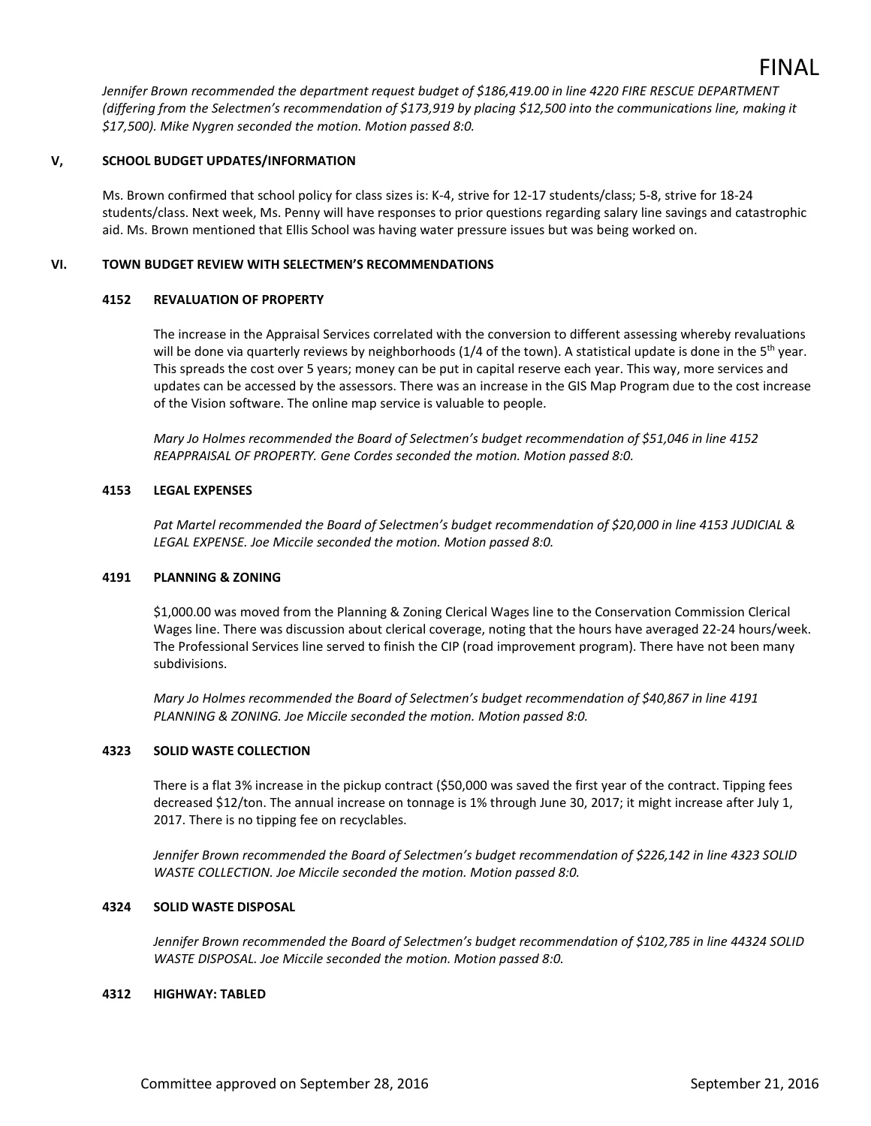*Jennifer Brown recommended the department request budget of \$186,419.00 in line 4220 FIRE RESCUE DEPARTMENT (differing from the Selectmen's recommendation of \$173,919 by placing \$12,500 into the communications line, making it \$17,500). Mike Nygren seconded the motion. Motion passed 8:0.* 

### **V, SCHOOL BUDGET UPDATES/INFORMATION**

Ms. Brown confirmed that school policy for class sizes is: K-4, strive for 12-17 students/class; 5-8, strive for 18-24 students/class. Next week, Ms. Penny will have responses to prior questions regarding salary line savings and catastrophic aid. Ms. Brown mentioned that Ellis School was having water pressure issues but was being worked on.

### **VI. TOWN BUDGET REVIEW WITH SELECTMEN'S RECOMMENDATIONS**

### **4152 REVALUATION OF PROPERTY**

The increase in the Appraisal Services correlated with the conversion to different assessing whereby revaluations will be done via quarterly reviews by neighborhoods  $(1/4$  of the town). A statistical update is done in the 5<sup>th</sup> year. This spreads the cost over 5 years; money can be put in capital reserve each year. This way, more services and updates can be accessed by the assessors. There was an increase in the GIS Map Program due to the cost increase of the Vision software. The online map service is valuable to people.

*Mary Jo Holmes recommended the Board of Selectmen's budget recommendation of \$51,046 in line 4152 REAPPRAISAL OF PROPERTY. Gene Cordes seconded the motion. Motion passed 8:0.* 

### **4153 LEGAL EXPENSES**

*Pat Martel recommended the Board of Selectmen's budget recommendation of \$20,000 in line 4153 JUDICIAL & LEGAL EXPENSE. Joe Miccile seconded the motion. Motion passed 8:0.* 

### **4191 PLANNING & ZONING**

\$1,000.00 was moved from the Planning & Zoning Clerical Wages line to the Conservation Commission Clerical Wages line. There was discussion about clerical coverage, noting that the hours have averaged 22-24 hours/week. The Professional Services line served to finish the CIP (road improvement program). There have not been many subdivisions.

*Mary Jo Holmes recommended the Board of Selectmen's budget recommendation of \$40,867 in line 4191 PLANNING & ZONING. Joe Miccile seconded the motion. Motion passed 8:0.* 

### **4323 SOLID WASTE COLLECTION**

There is a flat 3% increase in the pickup contract (\$50,000 was saved the first year of the contract. Tipping fees decreased \$12/ton. The annual increase on tonnage is 1% through June 30, 2017; it might increase after July 1, 2017. There is no tipping fee on recyclables.

*Jennifer Brown recommended the Board of Selectmen's budget recommendation of \$226,142 in line 4323 SOLID WASTE COLLECTION. Joe Miccile seconded the motion. Motion passed 8:0.* 

## **4324 SOLID WASTE DISPOSAL**

*Jennifer Brown recommended the Board of Selectmen's budget recommendation of \$102,785 in line 44324 SOLID WASTE DISPOSAL. Joe Miccile seconded the motion. Motion passed 8:0.* 

### **4312 HIGHWAY: TABLED**